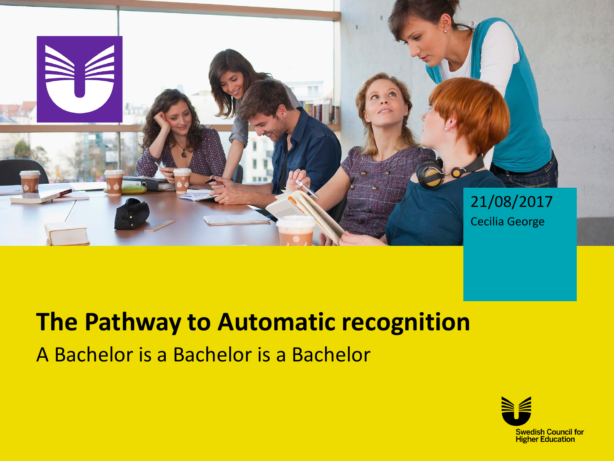

# **The Pathway to Automatic recognition** A Bachelor is a Bachelor is a Bachelor

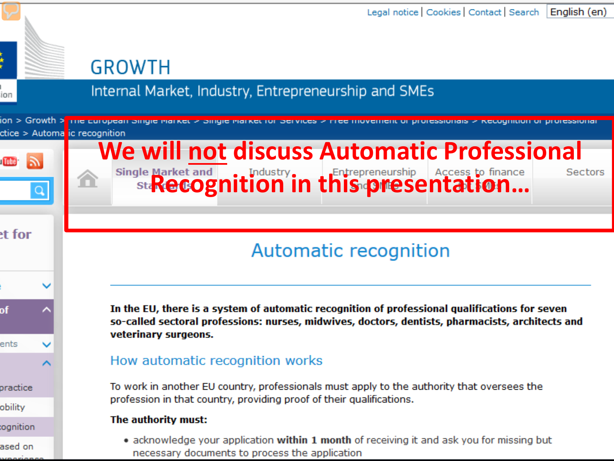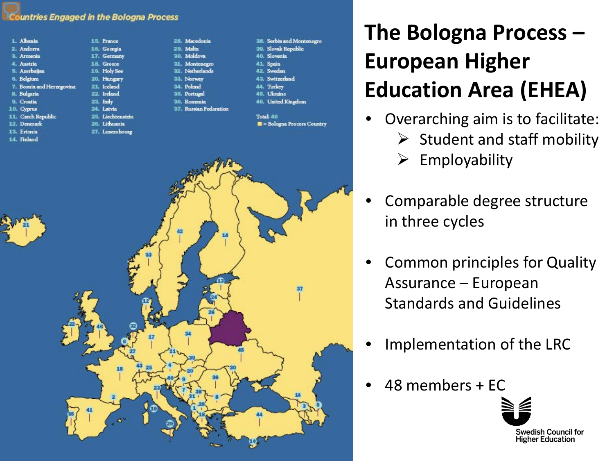#### **Countries Engaged in the Bologna Process**

France

Georgia Germany

Greece

**Holy See** 

Hungary

Iceland

Ireland

**Italy** 

Latvia Liechtenstein

**Tithuania** Luxembourg

| 1. Albania                 |   |
|----------------------------|---|
| 2. Andorra                 |   |
| 3. Armenia                 | 1 |
| 4. Austria                 |   |
| 5. Azerbaijan              |   |
| 6. Belgium                 | 2 |
| 7. Bosnia and Herzegovina. | 2 |
| 8. Bulgaria                | 2 |
| 9. Croatia                 | 2 |
| 0. Cyprus                  | 2 |
| 1. Czech Republic          | 2 |
| 2. Denmark                 | 2 |
| 3. Estonia                 | 2 |
|                            |   |

- 14. Finland
- 
- 28. Macedonia 29. Malta 30. Moldova 31. Montenegro 32. Netherlands 33. Norway 34. Poland 35. Portugal 36. Romania 37. Russian Federation
- 38. Serbia and Montenegro 39. Slovak Republic 40. Slovenia 41 Spain
- 42. Sweden
- 43. Switzerland
- 44. Turkey
- 45. Ukraine
- 46. United Kingdom
- Total 46 **II** = Bologna Process Country

#### **The Bologna Process – European Higher Education Area (EHEA)**

- Overarching aim is to facilitate:
	- $\triangleright$  Student and staff mobility
	- $\triangleright$  Employability
- Comparable degree structure in three cycles
- Common principles for Quality Assurance – European Standards and Guidelines
- Implementation of the LRC
- 48 members + EC

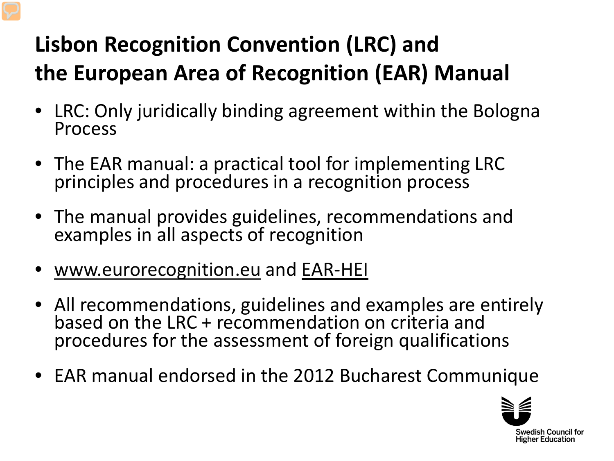## **Lisbon Recognition Convention (LRC) and the European Area of Recognition (EAR) Manual**

- LRC: Only juridically binding agreement within the Bologna Process
- The EAR manual: a practical tool for implementing LRC principles and procedures in a recognition process
- The manual provides guidelines, recommendations and examples in all aspects of recognition
- [www.eurorecognition.eu](http://www.eurorecognition.eu/) and [EAR-HEI](http://eurorecognition.eu/Manual/EAR%20HEI.pdf)
- All recommendations, guidelines and examples are entirely based on the LRC + recommendation on criteria and procedures for the assessment of foreign qualifications
- EAR manual endorsed in the 2012 Bucharest Communique

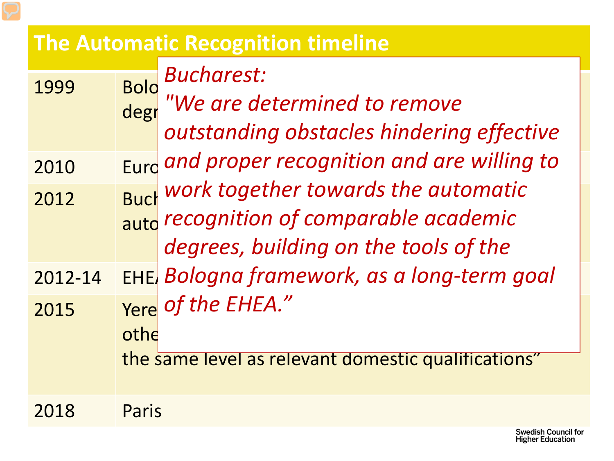#### **The Automatic Recognition timeline**

|         | <b>Bold</b><br>degr | <b>Bucharest:</b><br>"We are determined to remove<br>outstanding obstacles hindering effective                          |
|---------|---------------------|-------------------------------------------------------------------------------------------------------------------------|
| 2010    |                     | Eurd and proper recognition and are willing to                                                                          |
| 2012    |                     | Buck boundary towards the automatic<br>aute recognition of comparable academic<br>degrees, building on the tools of the |
| 2012-14 |                     | EHE Bologna framework, as a long-term goal                                                                              |
| 2015    | othe                | Yere of the EHEA."<br>the same level as relevant domestic qualifications"                                               |
| 2018    | Paris               |                                                                                                                         |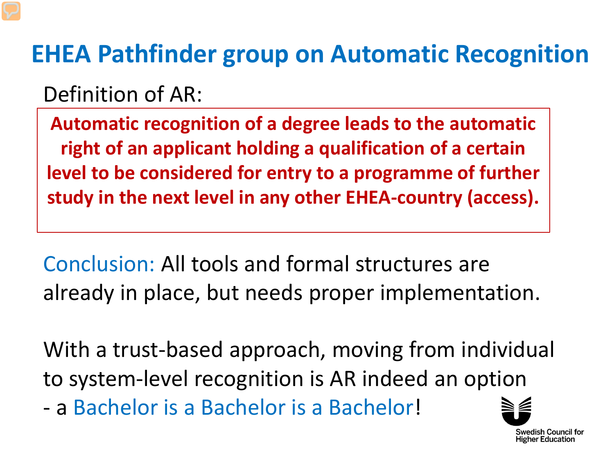# <span id="page-5-0"></span>**EHEA Pathfinder group on Automatic Recognition**

Definition of AR:

**Automatic recognition of a degree leads to the automatic right of an applicant holding a qualification of a certain level to be considered for entry to a programme of further study in the next level in any other EHEA-country (access).**

Conclusion: All tools and formal structures are already in place, but needs proper implementation.

With a trust-based approach, moving from individual to system-level recognition is AR indeed an option

- a Bachelor is a Bachelor is a Bachelor!

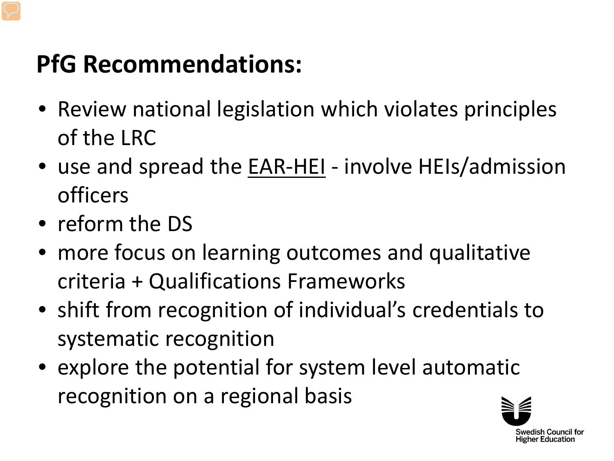# **PfG Recommendations:**

- Review national legislation which violates principles of the LRC
- use and spread the EAR-HEI involve HEIs/admission officers
- reform the DS
- more focus on learning outcomes and qualitative criteria + Qualifications Frameworks
- shift from recognition of individual's credentials to systematic recognition
- explore the potential for system level automatic recognition on a regional basis

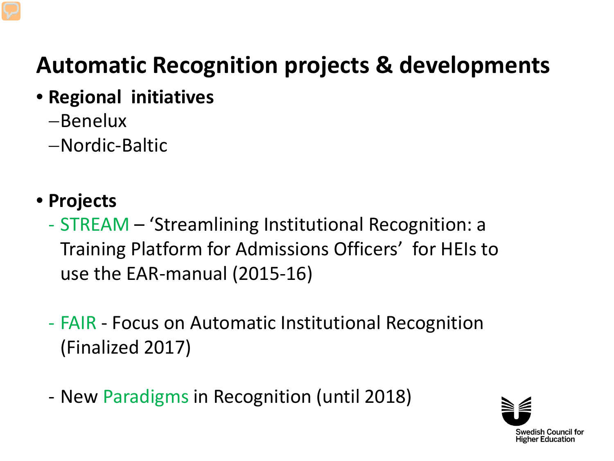## **Automatic Recognition projects & developments**

- **Regional initiatives**
	- −Benelux
	- −Nordic-Baltic
- **Projects**
	- STREAM 'Streamlining Institutional Recognition: a Training Platform for Admissions Officers' for HEIs to use the EAR-manual (2015-16)
	- FAIR Focus on Automatic Institutional Recognition (Finalized 2017)
	- New Paradigms in Recognition (until 2018)

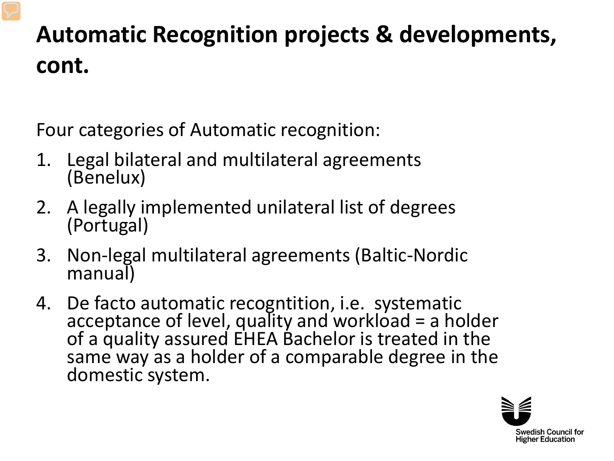## **Automatic Recognition projects & developments, cont.**

Four categories of Automatic recognition:

- 1. Legal bilateral and multilateral agreements (Benelux)
- 2. A legally implemented unilateral list of degrees (Portugal)
- 3. Non-legal multilateral agreements (Baltic-Nordic manual)
- 4. De facto automatic recogntition, i.e. systematic acceptance of level, quality and workload = a holder of a quality assured EHEA Bachelor is treated in the same way as a holder of a comparable degree in the domestic system.

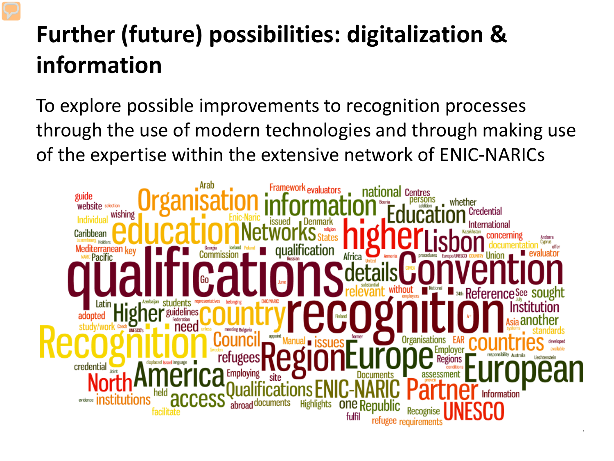# **Further (future) possibilities: digitalization & information**

To explore possible improvements to recognition processes through the use of modern technologies and through making use of the expertise within the extensive network of ENIC-NARICs